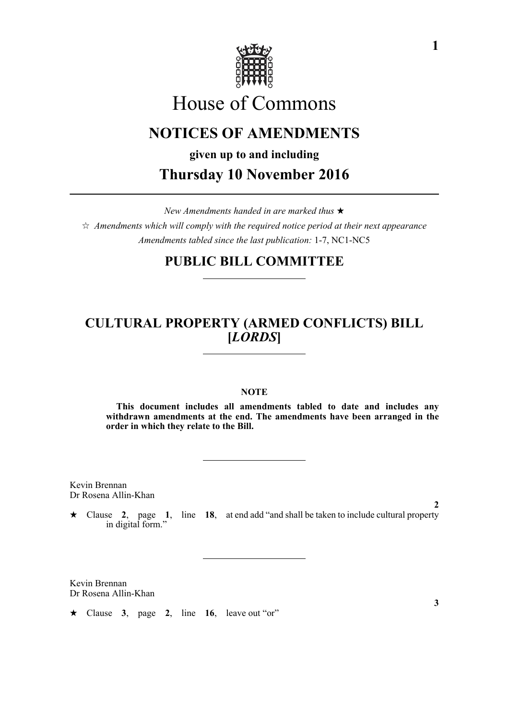

# House of Commons

## **NOTICES OF AMENDMENTS**

**given up to and including Thursday 10 November 2016**

*New Amendments handed in are marked thus*   $\hat{\varphi}$  Amendments which will comply with the required notice period at their next appearance *Amendments tabled since the last publication:* 1-7, NC1-NC5

### **PUBLIC BILL COMMITTEE**

### **CULTURAL PROPERTY (ARMED CONFLICTS) BILL [***LORDS***]**

#### **NOTE**

**This document includes all amendments tabled to date and includes any withdrawn amendments at the end. The amendments have been arranged in the order in which they relate to the Bill.**

Kevin Brennan Dr Rosena Allin-Khan

 Clause **2**, page **1**, line **18**, at end add "and shall be taken to include cultural property in digital form."

Kevin Brennan Dr Rosena Allin-Khan

 $\star$  Clause 3, page 2, line 16, leave out "or"

**3**

**2**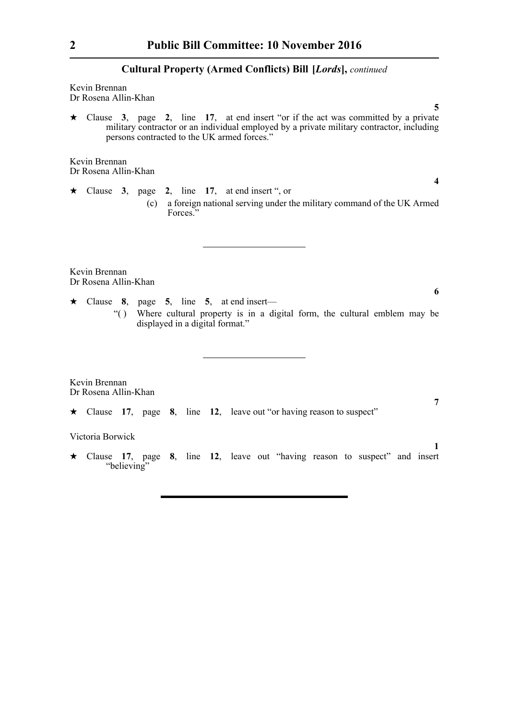Kevin Brennan Dr Rosena Allin-Khan

 $\star$  Clause 3, page 2, line 17, at end insert "or if the act was committed by a private military contractor or an individual employed by a private military contractor, including persons contracted to the UK armed forces."

Kevin Brennan Dr Rosena Allin-Khan

 $\star$  Clause 3, page 2, line 17, at end insert ", or (c) a foreign national serving under the military command of the UK Armed Forces."

Kevin Brennan Dr Rosena Allin-Khan

- $\star$  Clause 8, page 5, line 5, at end insert—
	- "( ) Where cultural property is in a digital form, the cultural emblem may be displayed in a digital format."

Kevin Brennan Dr Rosena Allin-Khan

Clause **17**, page **8**, line **12**, leave out "or having reason to suspect"

#### Victoria Borwick

 Clause **17**, page **8**, line **12**, leave out "having reason to suspect" and insert "believing"

**5**

**4**

**6**

**7**

**1**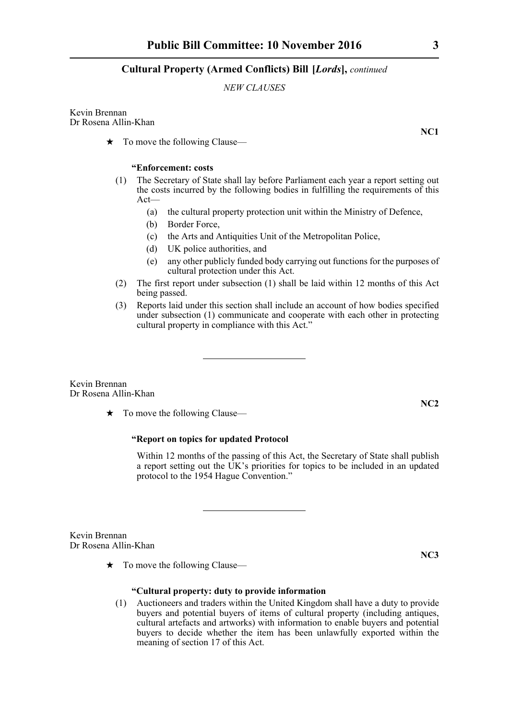#### *NEW CLAUSES*

Kevin Brennan Dr Rosena Allin-Khan

 $\star$  To move the following Clause—

#### **"Enforcement: costs**

- (1) The Secretary of State shall lay before Parliament each year a report setting out the costs incurred by the following bodies in fulfilling the requirements of this Act—
	- (a) the cultural property protection unit within the Ministry of Defence,
	- (b) Border Force,
	- (c) the Arts and Antiquities Unit of the Metropolitan Police,
	- (d) UK police authorities, and
	- (e) any other publicly funded body carrying out functions for the purposes of cultural protection under this Act.
- (2) The first report under subsection (1) shall be laid within 12 months of this Act being passed.
- (3) Reports laid under this section shall include an account of how bodies specified under subsection (1) communicate and cooperate with each other in protecting cultural property in compliance with this Act."

Kevin Brennan Dr Rosena Allin-Khan

 $\star$  To move the following Clause—

#### **"Report on topics for updated Protocol**

Within 12 months of the passing of this Act, the Secretary of State shall publish a report setting out the UK's priorities for topics to be included in an updated protocol to the 1954 Hague Convention."

Kevin Brennan Dr Rosena Allin-Khan

 $\star$  To move the following Clause—

#### **"Cultural property: duty to provide information**

(1) Auctioneers and traders within the United Kingdom shall have a duty to provide buyers and potential buyers of items of cultural property (including antiques, cultural artefacts and artworks) with information to enable buyers and potential buyers to decide whether the item has been unlawfully exported within the meaning of section 17 of this Act.

**NC1**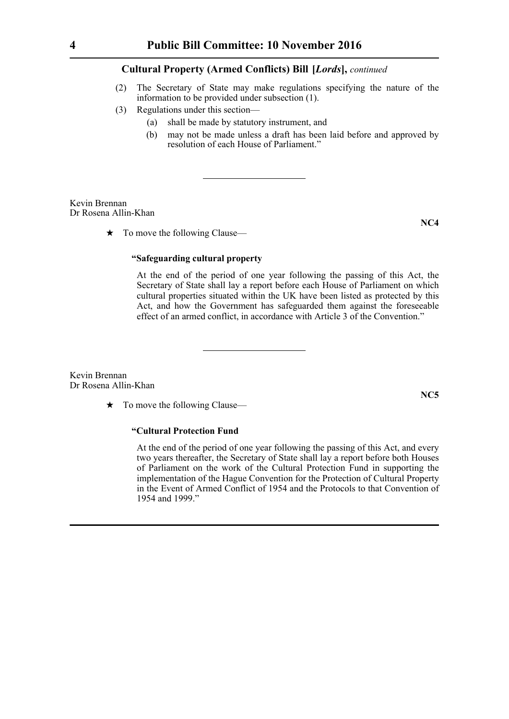- (2) The Secretary of State may make regulations specifying the nature of the information to be provided under subsection (1).
- (3) Regulations under this section—
	- (a) shall be made by statutory instrument, and
	- (b) may not be made unless a draft has been laid before and approved by resolution of each House of Parliament."

Kevin Brennan Dr Rosena Allin-Khan

 $\star$  To move the following Clause—

### **NC4**

#### **"Safeguarding cultural property**

At the end of the period of one year following the passing of this Act, the Secretary of State shall lay a report before each House of Parliament on which cultural properties situated within the UK have been listed as protected by this Act, and how the Government has safeguarded them against the foreseeable effect of an armed conflict, in accordance with Article 3 of the Convention."

Kevin Brennan Dr Rosena Allin-Khan

 $\star$  To move the following Clause—

#### **"Cultural Protection Fund**

At the end of the period of one year following the passing of this Act, and every two years thereafter, the Secretary of State shall lay a report before both Houses of Parliament on the work of the Cultural Protection Fund in supporting the implementation of the Hague Convention for the Protection of Cultural Property in the Event of Armed Conflict of 1954 and the Protocols to that Convention of 1954 and 1999."

**NC5**